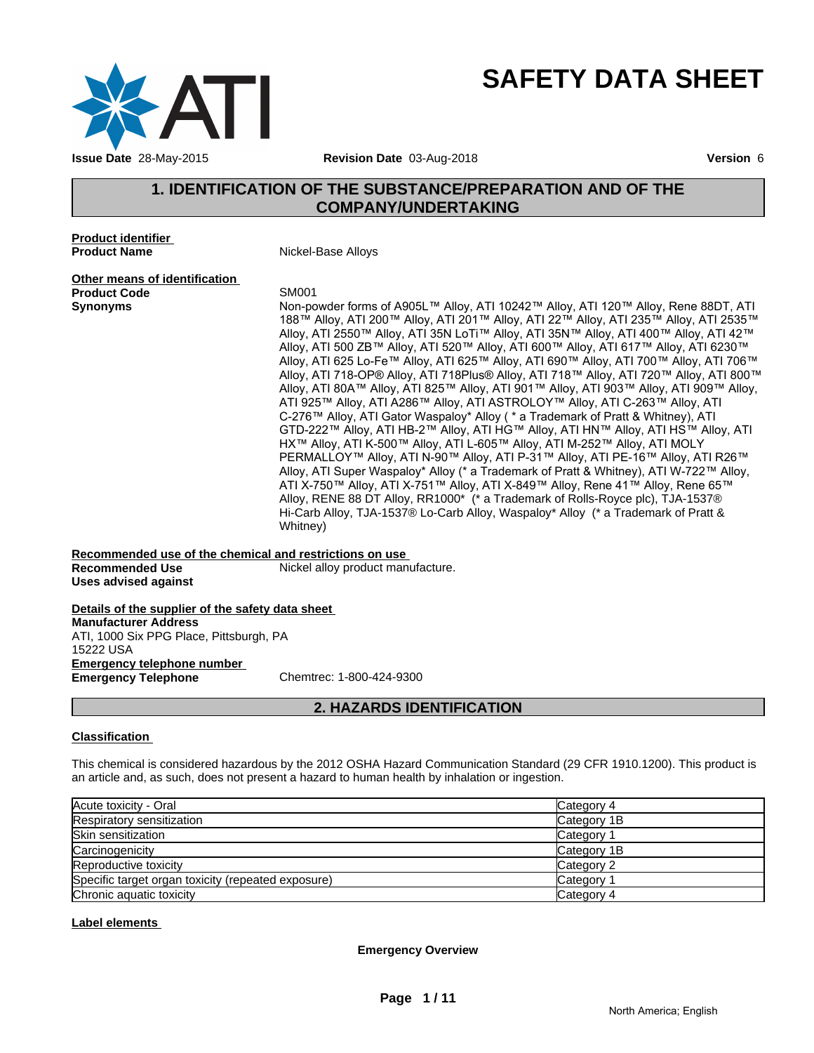

# **SAFETY DATA SHEET**

# **1. IDENTIFICATION OF THE SUBSTANCE/PREPARATION AND OF THE COMPANY/UNDERTAKING**

**Product identifier Product Name** Nickel-Base Alloys

**Other means of identification Product Code**<br> **Synonyms**<br>
Non-po

**Synonyms** Non-powder forms of A905L™ Alloy, ATI 10242™ Alloy, ATI 120™ Alloy, Rene 88DT, ATI 188™ Alloy, ATI 200™ Alloy, ATI 201™ Alloy, ATI 22™ Alloy, ATI 235™ Alloy, ATI 2535™ Alloy, ATI 2550™ Alloy, ATI 35N LoTi™ Alloy, ATI 35N™ Alloy, ATI 400™ Alloy, ATI 42™ Alloy, ATI 500 ZB™ Alloy, ATI 520™ Alloy, ATI 600™ Alloy, ATI 617™ Alloy, ATI 6230™ Alloy, ATI 625 Lo-Fe™ Alloy, ATI 625™ Alloy, ATI 690™ Alloy, ATI 700™ Alloy, ATI 706™ Alloy, ATI 718-OP® Alloy, ATI 718Plus® Alloy, ATI 718™ Alloy, ATI 720™ Alloy, ATI 800™ Alloy, ATI 80A™ Alloy, ATI 825™ Alloy, ATI 901™ Alloy, ATI 903™ Alloy, ATI 909™ Alloy, ATI 925™ Alloy, ATI A286™ Alloy, ATI ASTROLOY™ Alloy, ATI C-263™ Alloy, ATI C-276™ Alloy, ATI Gator Waspaloy\* Alloy ( \* a Trademark of Pratt & Whitney), ATI GTD-222™ Alloy, ATI HB-2™ Alloy, ATI HG™ Alloy, ATI HN™ Alloy, ATI HS™ Alloy, ATI HX™ Alloy, ATI K-500™ Alloy, ATI L-605™ Alloy, ATI M-252™ Alloy, ATI MOLY PERMALLOY™ Alloy, ATI N-90™ Alloy, ATI P-31™ Alloy, ATI PE-16™ Alloy, ATI R26™ Alloy, ATI Super Waspaloy\* Alloy (\* a Trademark of Pratt & Whitney), ATI W-722™ Alloy, ATI X-750™ Alloy, ATI X-751™ Alloy, ATI X-849™ Alloy, Rene 41™ Alloy, Rene 65™ Alloy, RENE 88 DT Alloy, RR1000\* (\* a Trademark of Rolls-Royce plc), TJA-1537® Hi-Carb Alloy, TJA-1537® Lo-Carb Alloy, Waspaloy\* Alloy (\* a Trademark of Pratt & Whitney)

**Recommended use of the chemical and restrictions on use Recommended Use Mickel alloy product manufacture. Uses advised against**

**Details of the supplier of the safety data sheet Emergency telephone number Emergency Telephone** Chemtrec: 1-800-424-9300 **Manufacturer Address** ATI, 1000 Six PPG Place, Pittsburgh, PA 15222 USA

# **2. HAZARDS IDENTIFICATION**

#### **Classification**

This chemical is considered hazardous by the 2012 OSHA Hazard Communication Standard (29 CFR 1910.1200). This product is an article and, as such, does not present a hazard to human health by inhalation or ingestion.

| Acute toxicity - Oral                              | Category 4            |
|----------------------------------------------------|-----------------------|
| Respiratory sensitization                          | Category 1B           |
| Skin sensitization                                 | Category              |
| Carcinogenicity                                    | Category 1B           |
| Reproductive toxicity                              | Category 2            |
| Specific target organ toxicity (repeated exposure) | Category <sup>-</sup> |
| Chronic aquatic toxicity                           | Category 4            |

#### **Label elements**

**Emergency Overview**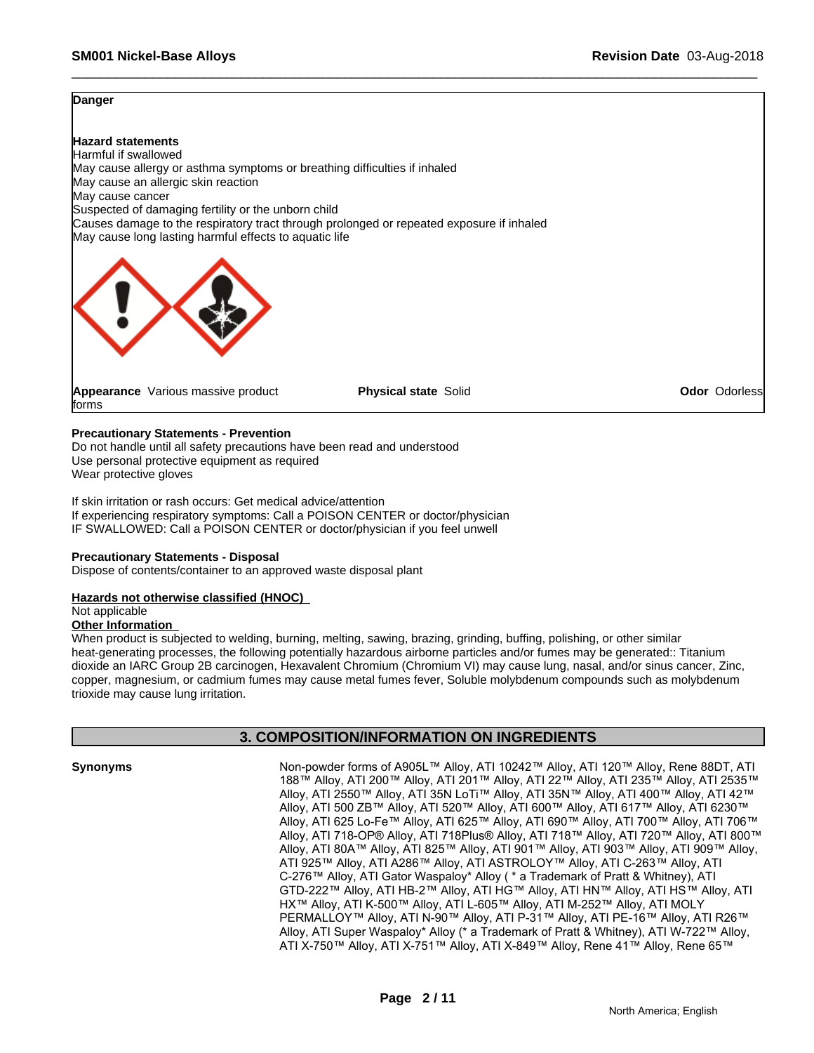#### **Danger**

**Hazard statements** Harmful if swallowed May cause allergy or asthma symptoms or breathing difficulties if inhaled May cause an allergic skin reaction May cause cancer Suspected of damaging fertility or the unborn child Causes damage to the respiratory tract through prolonged or repeated exposure if inhaled May cause long lasting harmful effects to aquatic life



**Appearance** Various massive product forms

**Physical state Solid <b>Contact Contact Contact Contact Contact Contact Contact Contact Contact Contact Contact Contact Contact Contact Contact Contact Contact Contact Contact Contact Contact Contact Contact Contact Contact** 

#### **Precautionary Statements - Prevention**

Do not handle until all safety precautions have been read and understood Use personal protective equipment as required Wear protective gloves

If skin irritation or rash occurs: Get medical advice/attention If experiencing respiratory symptoms: Call a POISON CENTER or doctor/physician IF SWALLOWED: Call a POISON CENTER or doctor/physician if you feel unwell

#### **Precautionary Statements - Disposal**

Dispose of contents/container to an approved waste disposal plant

#### **Hazards not otherwise classified (HNOC)**

#### Not applicable

#### **Other Information**

When product is subjected to welding, burning, melting, sawing, brazing, grinding, buffing, polishing, or other similar heat-generating processes, the following potentially hazardous airborne particles and/or fumes may be generated:: Titanium dioxide an IARC Group 2B carcinogen, Hexavalent Chromium (Chromium VI) may cause lung, nasal, and/or sinus cancer, Zinc, copper, magnesium, or cadmium fumes may cause metal fumes fever, Soluble molybdenum compounds such as molybdenum trioxide may cause lung irritation.

### **3. COMPOSITION/INFORMATION ON INGREDIENTS**

**Synonyms** Non-powder forms of A905L™ Alloy, ATI 10242™ Alloy, ATI 120™ Alloy, Rene 88DT, ATI 188™ Alloy, ATI 200™ Alloy, ATI 201™ Alloy, ATI 22™ Alloy, ATI 235™ Alloy, ATI 2535™ Alloy, ATI 2550™ Alloy, ATI 35N LoTi™ Alloy, ATI 35N™ Alloy, ATI 400™ Alloy, ATI 42™ Alloy, ATI 500 ZB™ Alloy, ATI 520™ Alloy, ATI 600™ Alloy, ATI 617™ Alloy, ATI 6230™ Alloy, ATI 625 Lo-Fe™ Alloy, ATI 625™ Alloy, ATI 690™ Alloy, ATI 700™ Alloy, ATI 706™ Alloy, ATI 718-OP® Alloy, ATI 718Plus® Alloy, ATI 718™ Alloy, ATI 720™ Alloy, ATI 800™ Alloy, ATI 80A™ Alloy, ATI 825™ Alloy, ATI 901™ Alloy, ATI 903™ Alloy, ATI 909™ Alloy, ATI 925™ Alloy, ATI A286™ Alloy, ATI ASTROLOY™ Alloy, ATI C-263™ Alloy, ATI C-276™ Alloy, ATI Gator Waspaloy\* Alloy ( \* a Trademark of Pratt & Whitney), ATI GTD-222™ Alloy, ATI HB-2™ Alloy, ATI HG™ Alloy, ATI HN™ Alloy, ATI HS™ Alloy, ATI HX™ Alloy, ATI K-500™ Alloy, ATI L-605™ Alloy, ATI M-252™ Alloy, ATI MOLY PERMALLOY™ Alloy, ATI N-90™ Alloy, ATI P-31™ Alloy, ATI PE-16™ Alloy, ATI R26™ Alloy, ATI Super Waspaloy\* Alloy (\* a Trademark of Pratt & Whitney), ATI W-722™ Alloy, ATI X-750™ Alloy, ATI X-751™ Alloy, ATI X-849™ Alloy, Rene 41™ Alloy, Rene 65™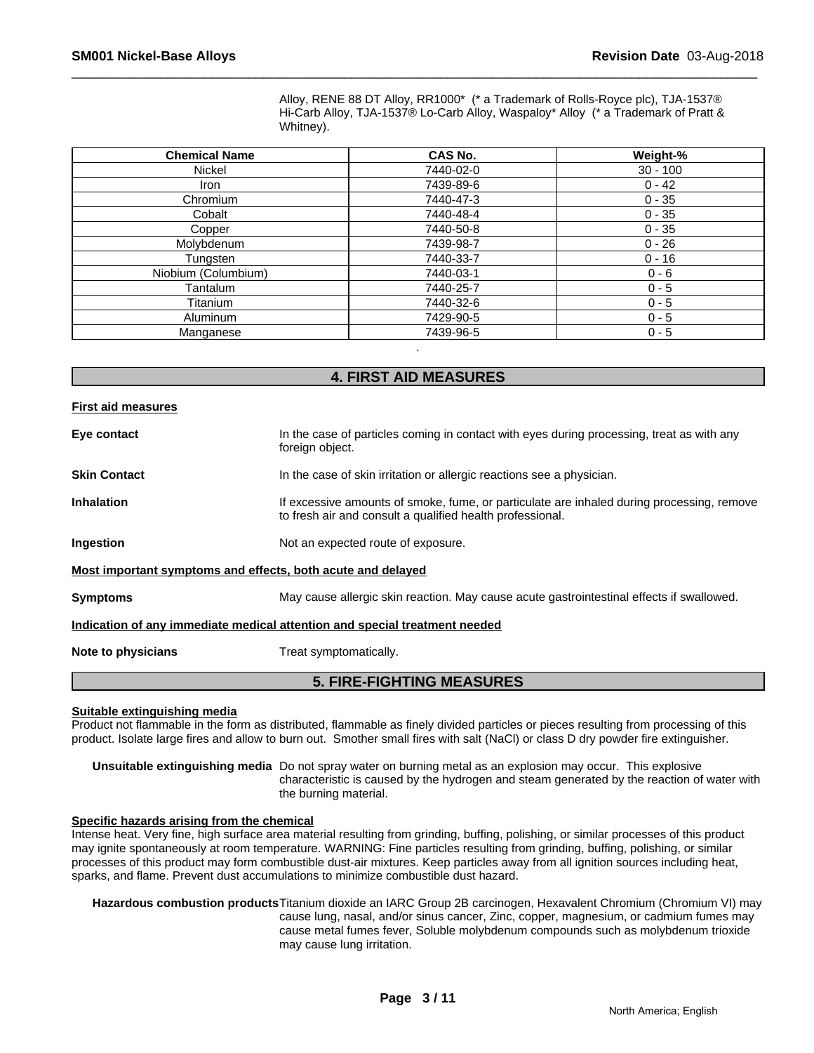Alloy, RENE 88 DT Alloy, RR1000\* (\* a Trademark of Rolls-Royce plc), TJA-1537® Hi-Carb Alloy, TJA-1537® Lo-Carb Alloy, Waspaloy\* Alloy (\* a Trademark of Pratt & Whitney).

| <b>Chemical Name</b> | CAS No.   | Weight-%   |
|----------------------|-----------|------------|
| Nickel               | 7440-02-0 | $30 - 100$ |
| Iron                 | 7439-89-6 | $0 - 42$   |
| Chromium             | 7440-47-3 | $0 - 35$   |
| Cobalt               | 7440-48-4 | $0 - 35$   |
| Copper               | 7440-50-8 | $0 - 35$   |
| Molybdenum           | 7439-98-7 | $0 - 26$   |
| Tungsten             | 7440-33-7 | $0 - 16$   |
| Niobium (Columbium)  | 7440-03-1 | $0 - 6$    |
| Tantalum             | 7440-25-7 | $0 - 5$    |
| Titanium             | 7440-32-6 | $0 - 5$    |
| Aluminum             | 7429-90-5 | $0 - 5$    |
| Manganese            | 7439-96-5 | $0 - 5$    |

# **4. FIRST AID MEASURES**

.

#### **First aid measures**

**Eye contact** In the case of particles coming in contact with eyes during processing, treat as with any foreign object. **Skin Contact In the case of skin irritation or allergic reactions see a physician. Inhalation** If excessive amounts of smoke, fume, or particulate are inhaled during processing, remove to fresh air and consult a qualified health professional. **Ingestion** Not an expected route of exposure. **Most important symptoms and effects, both acute and delayed**

**Symptoms** May cause allergic skin reaction. May cause acute gastrointestinal effects if swallowed.

#### **Indication of any immediate medical attention and special treatment needed**

**Note to physicians** Treat symptomatically.

# **5. FIRE-FIGHTING MEASURES**

#### **Suitable extinguishing media**

Product not flammable in the form as distributed, flammable as finely divided particles or pieces resulting from processing of this product. Isolate large fires and allow to burn out. Smother small fires with salt (NaCl) or class D dry powder fire extinguisher.

**Unsuitable extinguishing media** Do not spray water on burning metal as an explosion may occur. This explosive characteristic is caused by the hydrogen and steam generated by the reaction of water with the burning material.

#### **Specific hazards arising from the chemical**

Intense heat. Very fine, high surface area material resulting from grinding, buffing, polishing, or similar processes of this product may ignite spontaneously at room temperature. WARNING: Fine particles resulting from grinding, buffing, polishing, or similar processes of this product may form combustible dust-air mixtures. Keep particles away from all ignition sources including heat, sparks, and flame. Prevent dust accumulations to minimize combustible dust hazard.

**Hazardous combustion products**Titanium dioxide an IARC Group 2B carcinogen, Hexavalent Chromium (Chromium VI) may cause lung, nasal, and/or sinus cancer, Zinc, copper, magnesium, or cadmium fumes may cause metal fumes fever, Soluble molybdenum compounds such as molybdenum trioxide may cause lung irritation.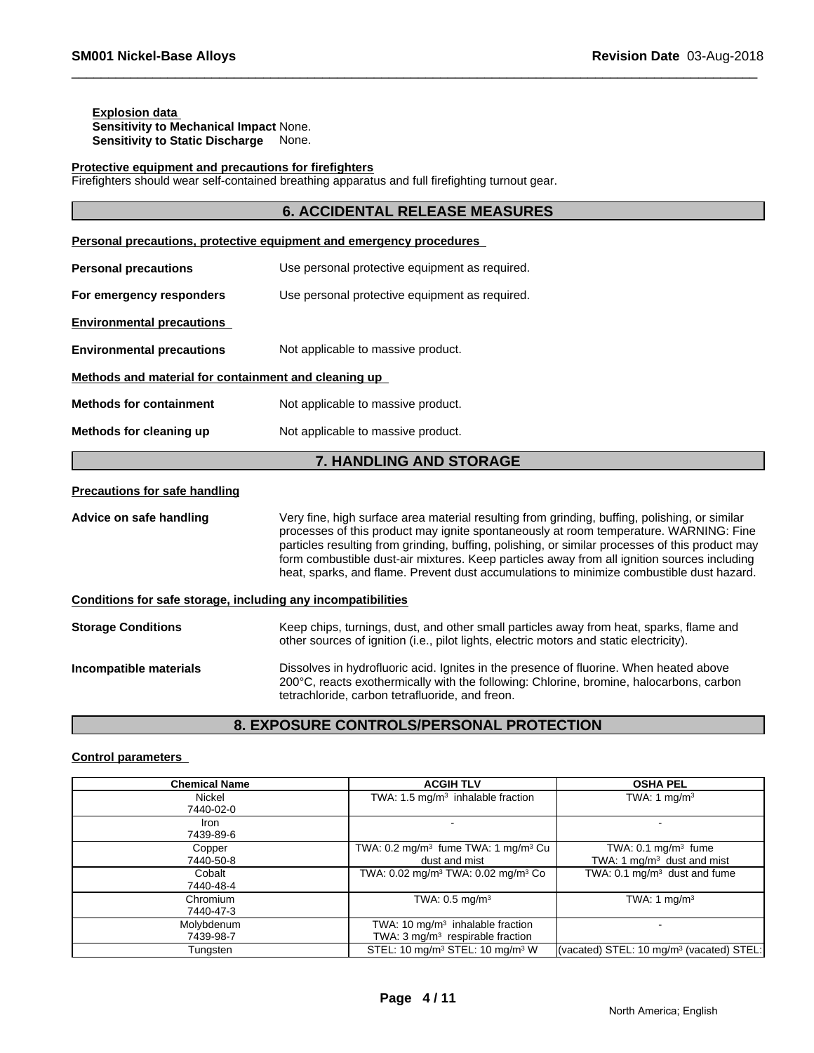#### **Explosion data Sensitivity to Mechanical Impact** None. **Sensitivity to Static Discharge** None.

#### **Protective equipment and precautions for firefighters**

Firefighters should wear self-contained breathing apparatus and full firefighting turnout gear.

# **6. ACCIDENTAL RELEASE MEASURES**

|                                                              | Personal precautions, protective equipment and emergency procedures                                                                                                                                                                                                                                                                                                                                                                                                                  |
|--------------------------------------------------------------|--------------------------------------------------------------------------------------------------------------------------------------------------------------------------------------------------------------------------------------------------------------------------------------------------------------------------------------------------------------------------------------------------------------------------------------------------------------------------------------|
| <b>Personal precautions</b>                                  | Use personal protective equipment as required.                                                                                                                                                                                                                                                                                                                                                                                                                                       |
| For emergency responders                                     | Use personal protective equipment as required.                                                                                                                                                                                                                                                                                                                                                                                                                                       |
| <b>Environmental precautions</b>                             |                                                                                                                                                                                                                                                                                                                                                                                                                                                                                      |
| <b>Environmental precautions</b>                             | Not applicable to massive product.                                                                                                                                                                                                                                                                                                                                                                                                                                                   |
| Methods and material for containment and cleaning up         |                                                                                                                                                                                                                                                                                                                                                                                                                                                                                      |
| <b>Methods for containment</b>                               | Not applicable to massive product.                                                                                                                                                                                                                                                                                                                                                                                                                                                   |
| Methods for cleaning up                                      | Not applicable to massive product.                                                                                                                                                                                                                                                                                                                                                                                                                                                   |
|                                                              | 7. HANDLING AND STORAGE                                                                                                                                                                                                                                                                                                                                                                                                                                                              |
| <b>Precautions for safe handling</b>                         |                                                                                                                                                                                                                                                                                                                                                                                                                                                                                      |
| Advice on safe handling                                      | Very fine, high surface area material resulting from grinding, buffing, polishing, or similar<br>processes of this product may ignite spontaneously at room temperature. WARNING: Fine<br>particles resulting from grinding, buffing, polishing, or similar processes of this product may<br>form combustible dust-air mixtures. Keep particles away from all ignition sources including<br>heat, sparks, and flame. Prevent dust accumulations to minimize combustible dust hazard. |
| Conditions for safe storage, including any incompatibilities |                                                                                                                                                                                                                                                                                                                                                                                                                                                                                      |
| <b>Storage Conditions</b>                                    | Keep chips, turnings, dust, and other small particles away from heat, sparks, flame and<br>other sources of ignition (i.e., pilot lights, electric motors and static electricity).                                                                                                                                                                                                                                                                                                   |
| Incompatible materials                                       | Dissolves in hydrofluoric acid. Ignites in the presence of fluorine. When heated above<br>200°C, reacts exothermically with the following: Chlorine, bromine, halocarbons, carbon                                                                                                                                                                                                                                                                                                    |

# **8. EXPOSURE CONTROLS/PERSONAL PROTECTION**

tetrachloride, carbon tetrafluoride, and freon.

#### **Control parameters**

| <b>Chemical Name</b>    | <b>ACGIH TLV</b>                                                                  | <b>OSHA PEL</b>                                                |  |
|-------------------------|-----------------------------------------------------------------------------------|----------------------------------------------------------------|--|
| Nickel<br>7440-02-0     | TWA: $1.5 \text{ mg/m}^3$ inhalable fraction                                      | TWA: 1 mg/m <sup>3</sup>                                       |  |
| Iron<br>7439-89-6       |                                                                                   |                                                                |  |
| Copper<br>7440-50-8     | TWA: $0.2 \text{ mg/m}^3$ fume TWA: 1 mg/m <sup>3</sup> Cu<br>dust and mist       | TWA: $0.1 \text{ mg/m}^3$ fume<br>TWA: 1 $mg/m3$ dust and mist |  |
| Cobalt<br>7440-48-4     | TWA: 0.02 mg/m <sup>3</sup> TWA: 0.02 mg/m <sup>3</sup> Co                        | TWA: $0.1 \text{ mg/m}^3$ dust and fume                        |  |
| Chromium<br>7440-47-3   | TWA: $0.5 \text{ mg/m}^3$                                                         | TWA: 1 mg/m <sup>3</sup>                                       |  |
| Molybdenum<br>7439-98-7 | TWA: 10 $mg/m3$ inhalable fraction<br>TWA: $3 \text{ mg/m}^3$ respirable fraction |                                                                |  |
| Tungsten                | STEL: 10 mg/m <sup>3</sup> STEL: 10 mg/m <sup>3</sup> W                           | (vacated) STEL: 10 mg/m <sup>3</sup> (vacated) STEL:           |  |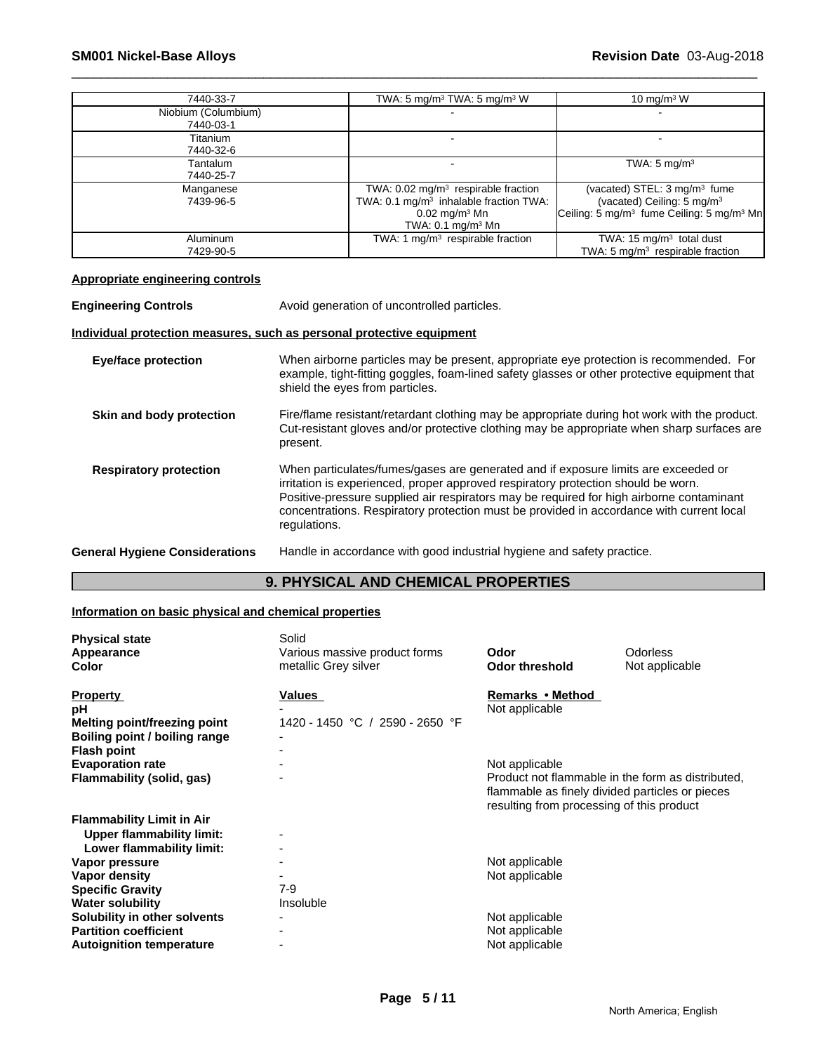| 7440-33-7           | TWA: 5 mg/m <sup>3</sup> TWA: 5 mg/m <sup>3</sup> W | 10 mg/m $3 \text{ W}$                                             |
|---------------------|-----------------------------------------------------|-------------------------------------------------------------------|
| Niobium (Columbium) |                                                     |                                                                   |
| 7440-03-1           |                                                     |                                                                   |
| Titanium            |                                                     |                                                                   |
| 7440-32-6           |                                                     |                                                                   |
| Tantalum            |                                                     | TWA: $5 \text{ mg/m}^3$                                           |
| 7440-25-7           |                                                     |                                                                   |
| Manganese           | TWA: $0.02 \text{ mg/m}^3$ respirable fraction      | (vacated) STEL: 3 mg/m <sup>3</sup> fume                          |
| 7439-96-5           | TWA: 0.1 mg/m <sup>3</sup> inhalable fraction TWA:  | (vacated) Ceiling: 5 mg/m <sup>3</sup>                            |
|                     | $0.02$ mg/m <sup>3</sup> Mn                         | Ceiling: 5 mg/m <sup>3</sup> fume Ceiling: 5 mg/m <sup>3</sup> Mn |
|                     | TWA: $0.1 \text{ mg/m}^3$ Mn                        |                                                                   |
| Aluminum            | TWA: 1 $mg/m3$ respirable fraction                  | TWA: 15 $mg/m3$ total dust                                        |
| 7429-90-5           |                                                     | TWA: $5 \text{ mg/m}^3$ respirable fraction                       |

#### **Appropriate engineering controls**

**Engineering Controls Avoid generation of uncontrolled particles.** 

#### **Individual protection measures, such as personal protective equipment**

**Eye/face protection** When airborne particles may be present, appropriate eye protection is recommended. For example, tight-fitting goggles, foam-lined safety glasses or other protective equipment that shield the eyes from particles. **Skin and body protection** Fire/flame resistant/retardant clothing may be appropriate during hot work with the product. Cut-resistant gloves and/or protective clothing may be appropriate when sharp surfaces are present. **Respiratory protection** When particulates/fumes/gases are generated and if exposure limits are exceeded or irritation is experienced, proper approved respiratory protection should be worn. Positive-pressure supplied air respirators may be required for high airborne contaminant concentrations. Respiratory protection must be provided in accordance with current local regulations. **General Hygiene Considerations** Handle in accordance with good industrial hygiene and safety practice.

# **9. PHYSICAL AND CHEMICAL PROPERTIES**

#### **Information on basic physical and chemical properties**

| Various massive product forms<br>Odorless<br>Odor<br>metallic Grey silver<br><b>Odor threshold</b><br>Not applicable<br>Remarks • Method<br><b>Property</b><br><b>Values</b><br>Not applicable<br>1420 - 1450 °C / 2590 - 2650 °F<br>Melting point/freezing point<br>Not applicable<br>Product not flammable in the form as distributed.<br>flammable as finely divided particles or pieces<br>resulting from processing of this product<br><b>Upper flammability limit:</b><br>Lower flammability limit:<br>Not applicable<br>Not applicable<br>7-9<br>Insoluble<br>Not applicable<br>Not applicable<br>$\overline{\phantom{0}}$<br>Not applicable<br>- | <b>Physical state</b>            | Solid |  |
|----------------------------------------------------------------------------------------------------------------------------------------------------------------------------------------------------------------------------------------------------------------------------------------------------------------------------------------------------------------------------------------------------------------------------------------------------------------------------------------------------------------------------------------------------------------------------------------------------------------------------------------------------------|----------------------------------|-------|--|
|                                                                                                                                                                                                                                                                                                                                                                                                                                                                                                                                                                                                                                                          | Appearance                       |       |  |
|                                                                                                                                                                                                                                                                                                                                                                                                                                                                                                                                                                                                                                                          | Color                            |       |  |
|                                                                                                                                                                                                                                                                                                                                                                                                                                                                                                                                                                                                                                                          |                                  |       |  |
|                                                                                                                                                                                                                                                                                                                                                                                                                                                                                                                                                                                                                                                          | рH                               |       |  |
|                                                                                                                                                                                                                                                                                                                                                                                                                                                                                                                                                                                                                                                          |                                  |       |  |
|                                                                                                                                                                                                                                                                                                                                                                                                                                                                                                                                                                                                                                                          | Boiling point / boiling range    |       |  |
|                                                                                                                                                                                                                                                                                                                                                                                                                                                                                                                                                                                                                                                          | <b>Flash point</b>               |       |  |
|                                                                                                                                                                                                                                                                                                                                                                                                                                                                                                                                                                                                                                                          | <b>Evaporation rate</b>          |       |  |
|                                                                                                                                                                                                                                                                                                                                                                                                                                                                                                                                                                                                                                                          | Flammability (solid, gas)        |       |  |
|                                                                                                                                                                                                                                                                                                                                                                                                                                                                                                                                                                                                                                                          |                                  |       |  |
|                                                                                                                                                                                                                                                                                                                                                                                                                                                                                                                                                                                                                                                          |                                  |       |  |
|                                                                                                                                                                                                                                                                                                                                                                                                                                                                                                                                                                                                                                                          | <b>Flammability Limit in Air</b> |       |  |
|                                                                                                                                                                                                                                                                                                                                                                                                                                                                                                                                                                                                                                                          |                                  |       |  |
|                                                                                                                                                                                                                                                                                                                                                                                                                                                                                                                                                                                                                                                          |                                  |       |  |
|                                                                                                                                                                                                                                                                                                                                                                                                                                                                                                                                                                                                                                                          | Vapor pressure                   |       |  |
|                                                                                                                                                                                                                                                                                                                                                                                                                                                                                                                                                                                                                                                          | Vapor density                    |       |  |
|                                                                                                                                                                                                                                                                                                                                                                                                                                                                                                                                                                                                                                                          | <b>Specific Gravity</b>          |       |  |
|                                                                                                                                                                                                                                                                                                                                                                                                                                                                                                                                                                                                                                                          | <b>Water solubility</b>          |       |  |
|                                                                                                                                                                                                                                                                                                                                                                                                                                                                                                                                                                                                                                                          | Solubility in other solvents     |       |  |
|                                                                                                                                                                                                                                                                                                                                                                                                                                                                                                                                                                                                                                                          | <b>Partition coefficient</b>     |       |  |
|                                                                                                                                                                                                                                                                                                                                                                                                                                                                                                                                                                                                                                                          | <b>Autoignition temperature</b>  |       |  |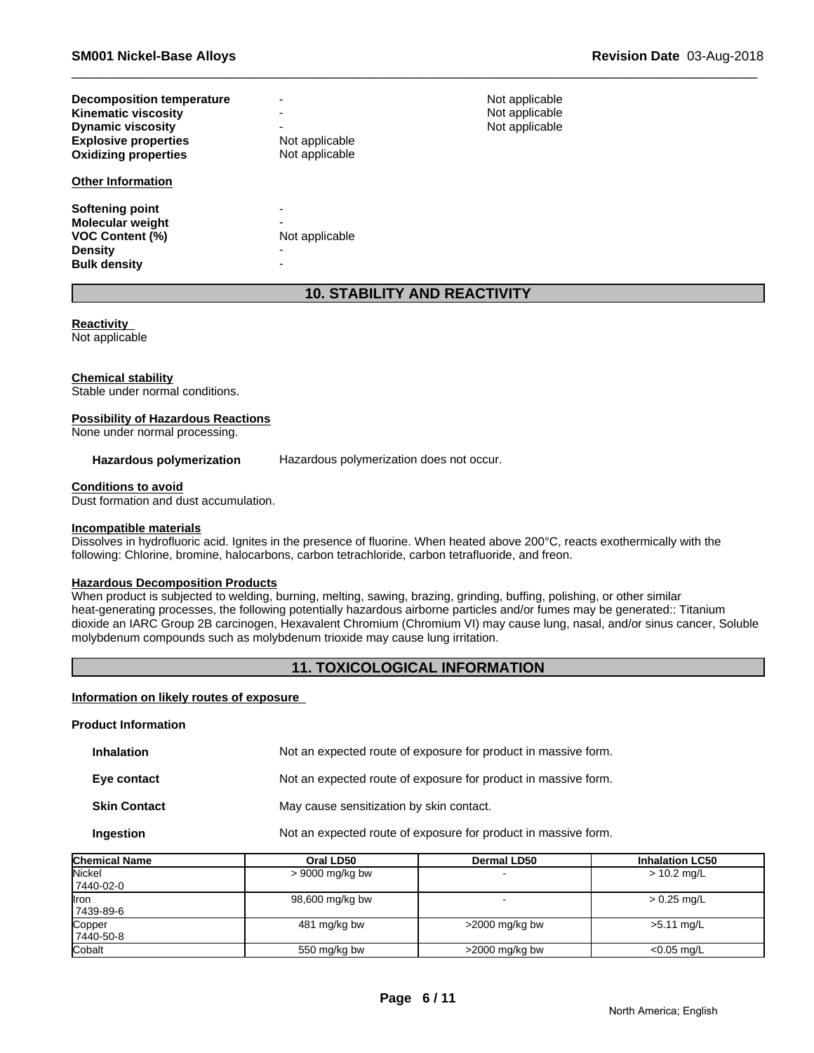| Decomposition temperature<br><b>Kinematic viscosity</b><br><b>Dynamic viscosity</b><br><b>Explosive properties</b><br><b>Oxidizing properties</b><br><b>Other Information</b> | Not applicable<br>Not applicable | Not applicable<br>Not applicable<br>Not applicable |
|-------------------------------------------------------------------------------------------------------------------------------------------------------------------------------|----------------------------------|----------------------------------------------------|
| Softening point<br><b>Molecular weight</b><br><b>VOC Content (%)</b><br><b>Density</b><br><b>Bulk density</b>                                                                 | Not applicable                   |                                                    |

# **10. STABILITY AND REACTIVITY**

# **Reactivity**

Not applicable

#### **Chemical stability**

Stable under normal conditions.

#### **Possibility of Hazardous Reactions**

None under normal processing.

Hazardous polymerization Hazardous polymerization does not occur.

#### **Conditions to avoid**

Dust formation and dust accumulation.

#### **Incompatible materials**

Dissolves in hydrofluoric acid. Ignites in the presence of fluorine. When heated above 200°C, reacts exothermically with the following: Chlorine, bromine, halocarbons, carbon tetrachloride, carbon tetrafluoride, and freon.

# **Hazardous Decomposition Products**

When product is subjected to welding, burning, melting, sawing, brazing, grinding, buffing, polishing, or other similar heat-generating processes, the following potentially hazardous airborne particles and/or fumes may be generated:: Titanium dioxide an IARC Group 2B carcinogen, Hexavalent Chromium (Chromium VI) may cause lung, nasal, and/or sinus cancer, Soluble molybdenum compounds such as molybdenum trioxide may cause lung irritation.

# **11. TOXICOLOGICAL INFORMATION**

#### **Information on likely routes of exposure**

#### **Product Information**

| <b>Inhalation</b>   | Not an expected route of exposure for product in massive form. |
|---------------------|----------------------------------------------------------------|
| Eye contact         | Not an expected route of exposure for product in massive form. |
| <b>Skin Contact</b> | May cause sensitization by skin contact.                       |
| Ingestion           | Not an expected route of exposure for product in massive form. |

| Chemical Name | Oral LD50         | <b>Dermal LD50</b> | <b>Inhalation LC50</b> |
|---------------|-------------------|--------------------|------------------------|
| Nickel        | $> 9000$ mg/kg bw |                    | $> 10.2$ mg/L          |
| 7440-02-0     |                   |                    |                        |
| Iron          | 98,600 mg/kg bw   |                    | $> 0.25$ mg/L          |
| 7439-89-6     |                   |                    |                        |
| Copper        | 481 mg/kg bw      | $>2000$ mg/kg bw   | $>5.11$ mg/L           |
| 7440-50-8     |                   |                    |                        |
| Cobalt        | 550 mg/kg bw      | $>$ 2000 mg/kg bw  | $<$ 0.05 mg/L          |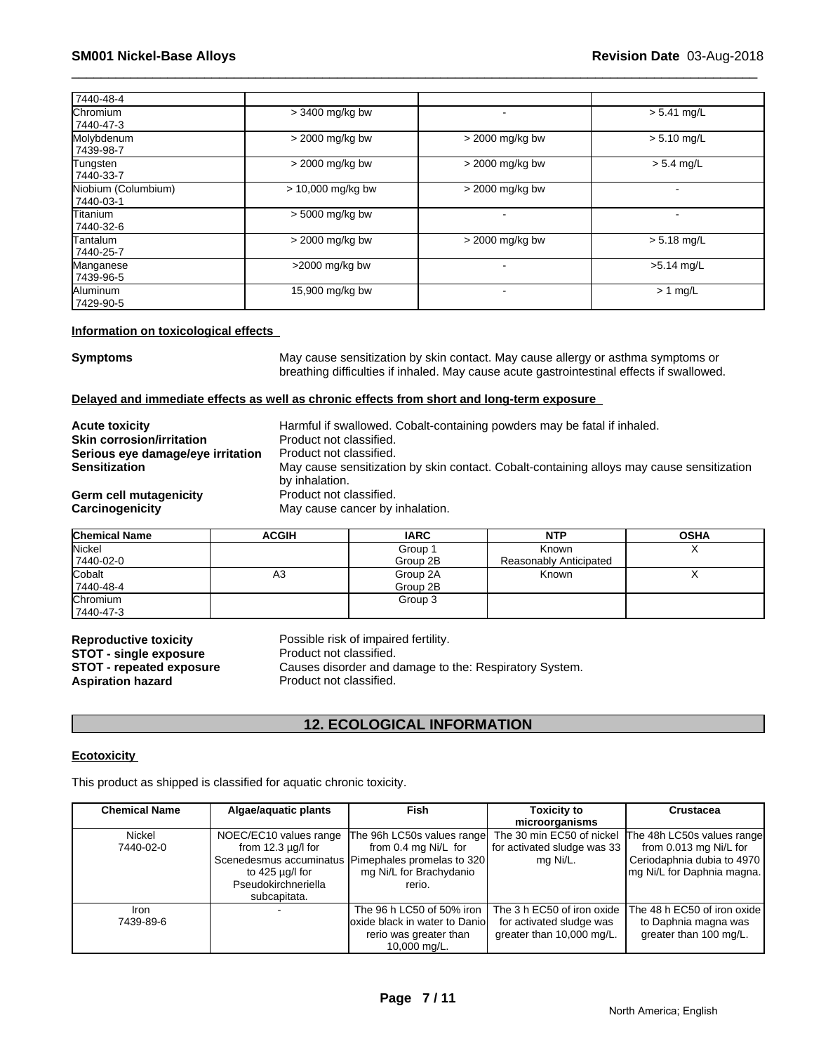| 7440-48-4                        |                     |                   |               |
|----------------------------------|---------------------|-------------------|---------------|
| Chromium<br>17440-47-3           | $>$ 3400 mg/kg bw   |                   | $> 5.41$ mg/L |
| Molybdenum<br>  7439-98-7        | > 2000 mg/kg bw     | > 2000 mg/kg bw   | $> 5.10$ mg/L |
| Tungsten<br>7440-33-7            | > 2000 mg/kg bw     | > 2000 mg/kg bw   | $> 5.4$ mg/L  |
| Niobium (Columbium)<br>7440-03-1 | $> 10,000$ mg/kg bw | $>$ 2000 mg/kg bw |               |
| <b>Titanium</b><br>7440-32-6     | $> 5000$ mg/kg bw   |                   |               |
| <b>Tantalum</b><br>7440-25-7     | > 2000 mg/kg bw     | > 2000 mg/kg bw   | $> 5.18$ mg/L |
| Manganese<br>7439-96-5           | $>2000$ mg/kg bw    |                   | $>5.14$ mg/L  |
| Aluminum<br>17429-90-5           | 15,900 mg/kg bw     |                   | $> 1$ mg/L    |

#### **Information on toxicological effects**

**Symptoms** May cause sensitization by skin contact. May cause allergy or asthma symptoms or breathing difficulties if inhaled. May cause acute gastrointestinal effects if swallowed.

#### **Delayed and immediate effects as well as chronic effects from short and long-term exposure**

| <b>Acute toxicity</b><br><b>Skin corrosion/irritation</b><br>Serious eye damage/eye irritation<br><b>Sensitization</b><br>Germ cell mutagenicity | Harmful if swallowed. Cobalt-containing powders may be fatal if inhaled.<br>Product not classified.<br>Product not classified.<br>May cause sensitization by skin contact. Cobalt-containing alloys may cause sensitization<br>by inhalation.<br>Product not classified. |
|--------------------------------------------------------------------------------------------------------------------------------------------------|--------------------------------------------------------------------------------------------------------------------------------------------------------------------------------------------------------------------------------------------------------------------------|
|                                                                                                                                                  |                                                                                                                                                                                                                                                                          |
| Carcinogenicity                                                                                                                                  | May cause cancer by inhalation.                                                                                                                                                                                                                                          |

| <b>Chemical Name</b> | <b>ACGIH</b> | <b>IARC</b> | <b>NTP</b>             | <b>OSHA</b> |
|----------------------|--------------|-------------|------------------------|-------------|
| <b>Nickel</b>        |              | Group 1     | Known                  | $\lambda$   |
| 7440-02-0            |              | Group 2B    | Reasonably Anticipated |             |
| Cobalt               | A3           | Group 2A    | Known                  | $\lambda$   |
| 7440-48-4            |              | Group 2B    |                        |             |
| Chromium             |              | Group 3     |                        |             |
| 7440-47-3            |              |             |                        |             |

**STOT - single exposure<br>STOT - repeated exposure** 

**Reproductive toxicity** Possible risk of impaired fertility.<br>**STOT - single exposure** Product not classified. **STOT - repeated exposure** Causes disorder and damage to the: Respiratory System.<br>**Aspiration hazard** Product not classified. Product not classified.

# **12. ECOLOGICAL INFORMATION**

#### **Ecotoxicity**

This product as shipped is classified for aquatic chronic toxicity.

| <b>Chemical Name</b> | Algae/aquatic plants    | <b>Fish</b>                                        | Toxicity to                 | <b>Crustacea</b>              |
|----------------------|-------------------------|----------------------------------------------------|-----------------------------|-------------------------------|
|                      |                         |                                                    | microorganisms              |                               |
| Nickel               | NOEC/EC10 values range  | The 96h LC50s values range                         | The 30 min EC50 of nickel   | The 48h LC50s values range    |
| 7440-02-0            | from $12.3 \mu q/l$ for | from 0.4 mg Ni/L for                               | for activated sludge was 33 | from 0.013 mg Ni/L for        |
|                      |                         | Scenedesmus accuminatus Pimephales promelas to 320 | mg Ni/L.                    | Ceriodaphnia dubia to 4970    |
|                      | to 425 µg/l for         | mg Ni/L for Brachydanio                            |                             | Img Ni/L for Daphnia magna.   |
|                      | Pseudokirchneriella     | rerio.                                             |                             |                               |
|                      | subcapitata.            |                                                    |                             |                               |
| Iron                 |                         | The 96 h LC50 of 50% iron                          | The 3 h EC50 of iron oxide  | The 48 h EC50 of iron oxide I |
| 7439-89-6            |                         | loxide black in water to Danio                     | for activated sludge was    | to Daphnia magna was          |
|                      |                         | rerio was greater than                             | greater than 10,000 mg/L.   | greater than 100 mg/L.        |
|                      |                         | 10,000 mg/L.                                       |                             |                               |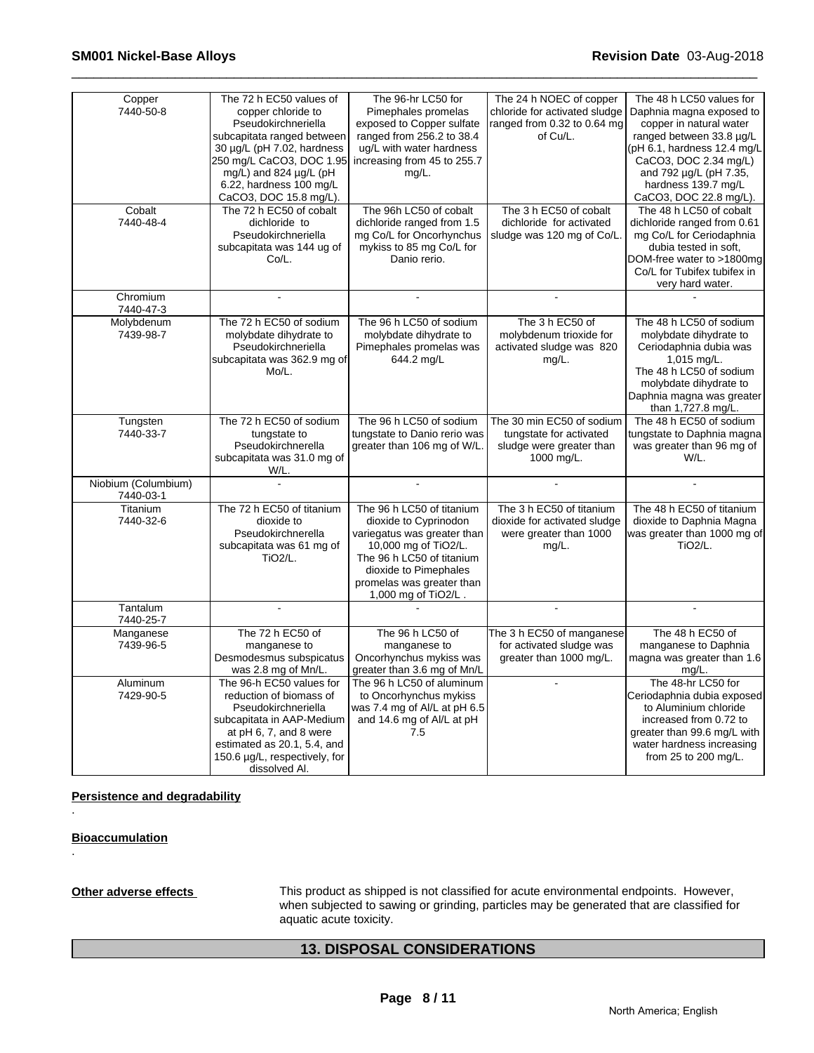| Copper<br>7440-50-8<br>Cobalt    | The 72 h EC50 values of<br>copper chloride to<br>Pseudokirchneriella<br>subcapitata ranged between<br>30 µg/L (pH 7.02, hardness<br>250 mg/L CaCO3, DOC 1.95<br>mg/L) and 824 µg/L (pH<br>6.22, hardness 100 mg/L<br>CaCO3, DOC 15.8 mg/L).<br>The 72 h EC50 of cobalt | The 96-hr LC50 for<br>Pimephales promelas<br>exposed to Copper sulfate<br>ranged from 256.2 to 38.4<br>ug/L with water hardness<br>increasing from 45 to 255.7<br>mg/L.<br>The 96h LC50 of cobalt                   | The 24 h NOEC of copper<br>chloride for activated sludge<br>ranged from 0.32 to 0.64 mg<br>of Cu/L.<br>The 3 h EC50 of cobalt | The 48 h LC50 values for<br>Daphnia magna exposed to<br>copper in natural water<br>ranged between 33.8 µg/L<br>(pH 6.1, hardness 12.4 mg/L<br>CaCO3, DOC 2.34 mg/L)<br>and 792 µg/L (pH 7.35,<br>hardness 139.7 mg/L<br>CaCO3, DOC 22.8 mg/L).<br>The 48 h LC50 of cobalt |
|----------------------------------|------------------------------------------------------------------------------------------------------------------------------------------------------------------------------------------------------------------------------------------------------------------------|---------------------------------------------------------------------------------------------------------------------------------------------------------------------------------------------------------------------|-------------------------------------------------------------------------------------------------------------------------------|---------------------------------------------------------------------------------------------------------------------------------------------------------------------------------------------------------------------------------------------------------------------------|
| 7440-48-4                        | dichloride to<br>Pseudokirchneriella<br>subcapitata was 144 ug of<br>Co/L.                                                                                                                                                                                             | dichloride ranged from 1.5<br>mg Co/L for Oncorhynchus<br>mykiss to 85 mg Co/L for<br>Danio rerio.                                                                                                                  | dichloride for activated<br>sludge was 120 mg of Co/L.                                                                        | dichloride ranged from 0.61<br>mg Co/L for Ceriodaphnia<br>dubia tested in soft,<br>DOM-free water to >1800mg<br>Co/L for Tubifex tubifex in<br>very hard water.                                                                                                          |
| Chromium<br>7440-47-3            |                                                                                                                                                                                                                                                                        |                                                                                                                                                                                                                     |                                                                                                                               |                                                                                                                                                                                                                                                                           |
| Molybdenum<br>7439-98-7          | The 72 h EC50 of sodium<br>molybdate dihydrate to<br>Pseudokirchneriella<br>subcapitata was 362.9 mg of<br>Mo/L.                                                                                                                                                       | The 96 h LC50 of sodium<br>molybdate dihydrate to<br>Pimephales promelas was<br>644.2 mg/L                                                                                                                          | The 3 h EC50 of<br>molybdenum trioxide for<br>activated sludge was 820<br>mg/L.                                               | The 48 h LC50 of sodium<br>molybdate dihydrate to<br>Ceriodaphnia dubia was<br>1,015 mg/L.<br>The 48 h LC50 of sodium<br>molybdate dihydrate to<br>Daphnia magna was greater<br>than 1,727.8 mg/L.                                                                        |
| Tungsten<br>7440-33-7            | The 72 h EC50 of sodium<br>tungstate to<br>Pseudokirchnerella<br>subcapitata was 31.0 mg of<br>W/L.                                                                                                                                                                    | The 96 h LC50 of sodium<br>tungstate to Danio rerio was<br>greater than 106 mg of W/L.                                                                                                                              | The 30 min EC50 of sodium<br>tungstate for activated<br>sludge were greater than<br>1000 mg/L.                                | The 48 h EC50 of sodium<br>tungstate to Daphnia magna<br>was greater than 96 mg of<br>W/L.                                                                                                                                                                                |
| Niobium (Columbium)<br>7440-03-1 | $\overline{a}$                                                                                                                                                                                                                                                         | $\overline{a}$                                                                                                                                                                                                      |                                                                                                                               | $\overline{a}$                                                                                                                                                                                                                                                            |
| Titanium<br>7440-32-6            | The 72 h EC50 of titanium<br>dioxide to<br>Pseudokirchnerella<br>subcapitata was 61 mg of<br><b>TiO2/L.</b>                                                                                                                                                            | The 96 h LC50 of titanium<br>dioxide to Cyprinodon<br>variegatus was greater than<br>10,000 mg of TiO2/L.<br>The 96 h LC50 of titanium<br>dioxide to Pimephales<br>promelas was greater than<br>1,000 mg of TiO2/L. | The 3 h EC50 of titanium<br>dioxide for activated sludge<br>were greater than 1000<br>mg/L.                                   | The 48 h EC50 of titanium<br>dioxide to Daphnia Magna<br>was greater than 1000 mg of<br>TiO2/L.                                                                                                                                                                           |
| Tantalum<br>7440-25-7            |                                                                                                                                                                                                                                                                        |                                                                                                                                                                                                                     |                                                                                                                               |                                                                                                                                                                                                                                                                           |
| Manganese<br>7439-96-5           | The 72 h EC50 of<br>manganese to<br>Desmodesmus subspicatus<br>was 2.8 mg of Mn/L.                                                                                                                                                                                     | The 96 h LC50 of<br>manganese to<br>Oncorhynchus mykiss was<br>greater than 3.6 mg of Mn/L                                                                                                                          | The 3 h EC50 of manganese<br>for activated sludge was<br>greater than 1000 mg/L.                                              | The 48 h EC50 of<br>manganese to Daphnia<br>magna was greater than 1.6<br>mg/L.                                                                                                                                                                                           |
| Aluminum<br>7429-90-5            | The 96-h EC50 values for<br>reduction of biomass of<br>Pseudokirchneriella<br>subcapitata in AAP-Medium<br>at pH 6, 7, and 8 were<br>estimated as 20.1, 5.4, and<br>150.6 µg/L, respectively, for<br>dissolved Al.                                                     | The 96 h LC50 of aluminum<br>to Oncorhynchus mykiss<br>was 7.4 mg of Al/L at pH 6.5<br>and 14.6 mg of Al/L at pH<br>7.5                                                                                             | ÷.                                                                                                                            | The 48-hr LC50 for<br>Ceriodaphnia dubia exposed<br>to Aluminium chloride<br>increased from 0.72 to<br>greater than 99.6 mg/L with<br>water hardness increasing<br>from 25 to 200 mg/L.                                                                                   |

**Persistence and degradability**

**Bioaccumulation**

.

.

**Other adverse effects** This product as shipped is not classified for acute environmental endpoints. However, when subjected to sawing or grinding, particles may be generated that are classified for aquatic acute toxicity.

# **13. DISPOSAL CONSIDERATIONS**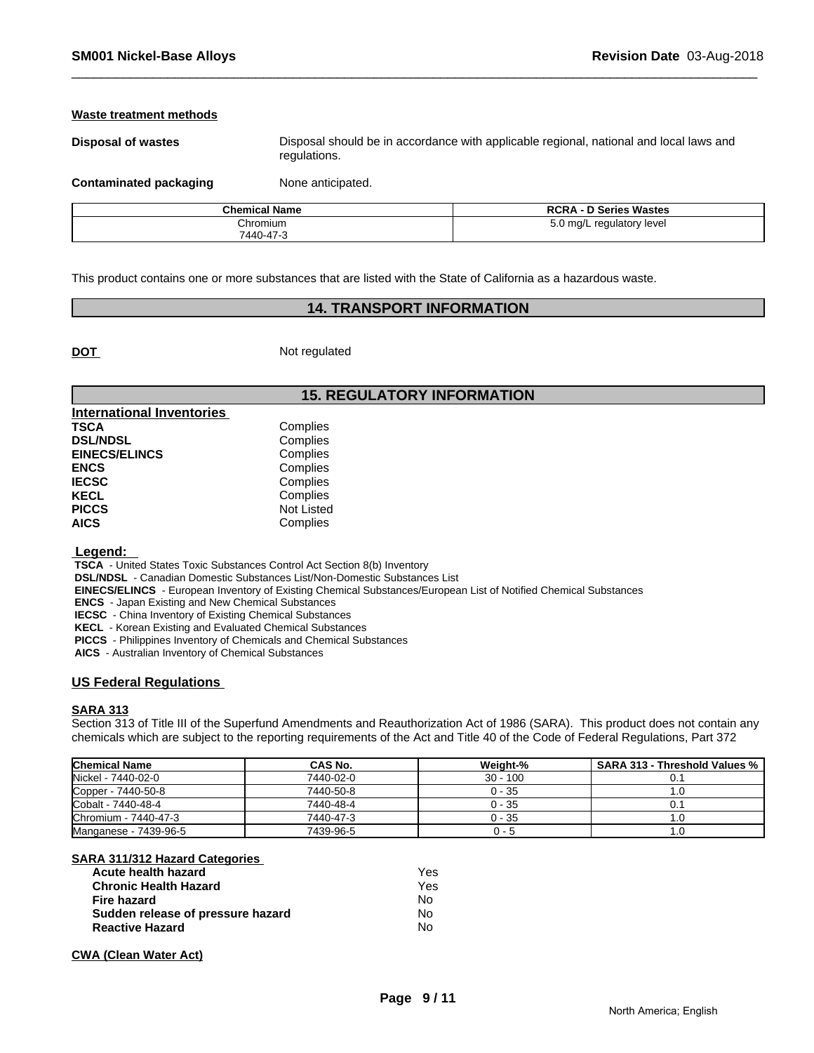#### **Waste treatment methods**

**Disposal of wastes** Disposal should be in accordance with applicable regional, national and local laws and regulations.

**Contaminated packaging Mone anticipated.** 

| <b>Chemical Name</b> | <b>\ - D Series Wastes</b><br><b>RCRA</b> |
|----------------------|-------------------------------------------|
| Chromium             | 5.0 mg/L regulatory level                 |
| 7440-47-3            |                                           |

This product contains one or more substances that are listed with the State of California as a hazardous waste.

# **14. TRANSPORT INFORMATION**

**DOT** Not regulated

# **15. REGULATORY INFORMATION**

| <b>International Inventories</b> |                   |  |
|----------------------------------|-------------------|--|
| <b>TSCA</b>                      | Complies          |  |
| <b>DSL/NDSL</b>                  | Complies          |  |
| <b>EINECS/ELINCS</b>             | Complies          |  |
| <b>ENCS</b>                      | Complies          |  |
| <b>IECSC</b>                     | Complies          |  |
| <b>KECL</b>                      | Complies          |  |
| <b>PICCS</b>                     | <b>Not Listed</b> |  |
| <b>AICS</b>                      | Complies          |  |

 **Legend:** 

 **TSCA** - United States Toxic Substances Control Act Section 8(b) Inventory

 **DSL/NDSL** - Canadian Domestic Substances List/Non-Domestic Substances List

 **EINECS/ELINCS** - European Inventory of Existing Chemical Substances/European List of Notified Chemical Substances

 **ENCS** - Japan Existing and New Chemical Substances

 **IECSC** - China Inventory of Existing Chemical Substances

 **KECL** - Korean Existing and Evaluated Chemical Substances

 **PICCS** - Philippines Inventory of Chemicals and Chemical Substances

 **AICS** - Australian Inventory of Chemical Substances

### **US Federal Regulations**

#### **SARA 313**

Section 313 of Title III of the Superfund Amendments and Reauthorization Act of 1986 (SARA). This product does not contain any chemicals which are subject to the reporting requirements of the Act and Title 40 of the Code of Federal Regulations, Part 372

| <b>Chemical Name</b>  | CAS No.   | Weiaht-%   | <b>SARA 313 - Threshold Values %</b> |
|-----------------------|-----------|------------|--------------------------------------|
| Nickel - 7440-02-0    | 7440-02-0 | $30 - 100$ |                                      |
| Copper - 7440-50-8    | 7440-50-8 | $0 - 35$   | IJ.                                  |
| Cobalt - 7440-48-4    | 7440-48-4 | 0 - 35     |                                      |
| Chromium - 7440-47-3  | 7440-47-3 | 0 - 35     | نا. ا                                |
| Manganese - 7439-96-5 | 7439-96-5 | u - 5      | 1.U                                  |

**SARA 311/312 Hazard Categories** 

| Acute health hazard               | Yes |
|-----------------------------------|-----|
| <b>Chronic Health Hazard</b>      | Yes |
| Fire hazard                       | N٥  |
| Sudden release of pressure hazard | N٥  |
| <b>Reactive Hazard</b>            | No  |

#### **CWA (Clean Water Act)**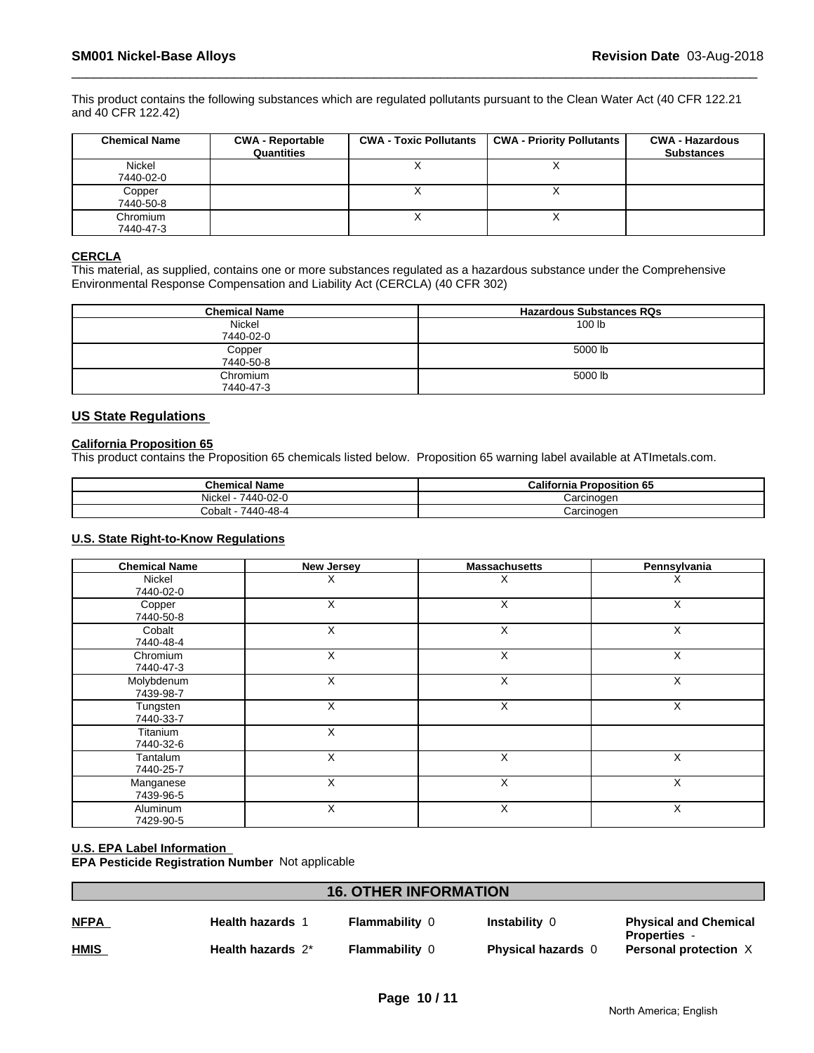This product contains the following substances which are regulated pollutants pursuant to the Clean Water Act (40 CFR 122.21 and 40 CFR 122.42)

| <b>Chemical Name</b> | <b>CWA - Reportable</b><br>Quantities | <b>CWA - Toxic Pollutants</b> | <b>CWA - Priority Pollutants</b> | <b>CWA - Hazardous</b><br><b>Substances</b> |
|----------------------|---------------------------------------|-------------------------------|----------------------------------|---------------------------------------------|
| Nickel               |                                       |                               |                                  |                                             |
| 7440-02-0            |                                       |                               |                                  |                                             |
| Copper               |                                       |                               |                                  |                                             |
| 7440-50-8            |                                       |                               |                                  |                                             |
| Chromium             |                                       |                               |                                  |                                             |
| 7440-47-3            |                                       |                               |                                  |                                             |

# **CERCLA**

This material, as supplied, contains one or more substances regulated as a hazardous substance under the Comprehensive Environmental Response Compensation and Liability Act (CERCLA) (40 CFR 302)

| <b>Chemical Name</b> | <b>Hazardous Substances RQs</b> |
|----------------------|---------------------------------|
| Nickel               | 100 lb                          |
| 7440-02-0            |                                 |
| Copper               | 5000 lb                         |
| 7440-50-8            |                                 |
| Chromium             | 5000 lb                         |
| 7440-47-3            |                                 |

### **US State Regulations**

#### **California Proposition 65**

This product contains the Proposition 65 chemicals listed below. Proposition 65 warning label available at ATImetals.com.

| <b>Chemical Name</b>       | California<br><b>Proposition 65</b> |
|----------------------------|-------------------------------------|
| Nickel<br>- -<br>7440-02-0 | Carcinogen                          |
| 7440<br>0-48-4<br>Cobalt   | Carcinogen                          |

#### **U.S. State Right-to-Know Regulations**

| <b>Chemical Name</b>    | New Jersey | <b>Massachusetts</b> | Pennsylvania |
|-------------------------|------------|----------------------|--------------|
| Nickel<br>7440-02-0     | X          | х                    | X            |
| Copper<br>7440-50-8     | X          | X                    | X            |
| Cobalt<br>7440-48-4     | X          | X                    | X            |
| Chromium<br>7440-47-3   | X          | X                    | X            |
| Molybdenum<br>7439-98-7 | X          | X                    | X            |
| Tungsten<br>7440-33-7   | X          | X                    | X            |
| Titanium<br>7440-32-6   | X          |                      |              |
| Tantalum<br>7440-25-7   | X          | X                    | X            |
| Manganese<br>7439-96-5  | X          | X                    | X            |
| Aluminum<br>7429-90-5   | X          | X                    | X            |

#### **U.S. EPA Label Information**

**EPA Pesticide Registration Number** Not applicable

| <b>16. OTHER INFORMATION</b> |                         |                       |                           |                                                     |
|------------------------------|-------------------------|-----------------------|---------------------------|-----------------------------------------------------|
| <b>NFPA</b>                  | <b>Health hazards 1</b> | <b>Flammability 0</b> | <b>Instability 0</b>      | <b>Physical and Chemical</b>                        |
| <u>HMIS</u>                  | Health hazards 2*       | <b>Flammability 0</b> | <b>Physical hazards</b> 0 | <b>Properties -</b><br><b>Personal protection X</b> |